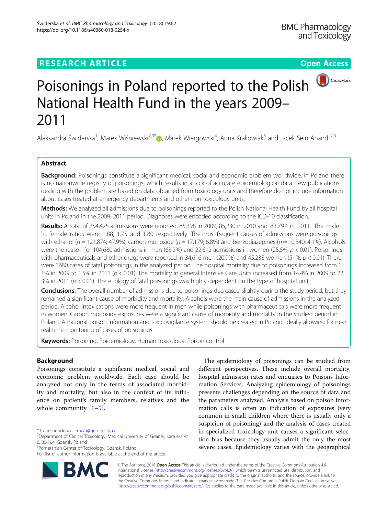# **RESEARCH ARTICLE Example 2018 12:30 THE Open Access**



# Poisonings in Poland reported to the Polish National Health Fund in the years 2009– 2011

Aleksandra Świderska<sup>1</sup>[,](http://orcid.org/0000-0002-7689-1626) Marek Wiśniewski<sup>2,3\*</sup>®, Marek Wiergowski<sup>4</sup>, Anna Krakowiak<sup>5</sup> and Jacek Sein Anand <sup>2,3</sup>

# Abstract

Background: Poisonings constitute a significant medical, social and economic problem worldwide. In Poland there is no nationwide registry of poisonings, which results in a lack of accurate epidemiological data. Few publications dealing with the problem are based on data obtained from toxicology units and therefore do not include information about cases treated at emergency departments and other non-toxicology units.

Methods: We analyzed all admissions due to poisonings reported to the Polish National Health Fund by all hospital units in Poland in the 2009–2011 period. Diagnoses were encoded according to the ICD-10 classification.

Results: A total of 254,425 admissions were reported, 85,398 in 2009, 85,230 in 2010 and 83,797 in 2011. The male to female ratios were 1.88, 1.75 and 1.80 respectively. The most frequent causes of admissions were poisonings with ethanol ( $n = 121,874$ ; 47.9%), carbon monoxide ( $n = 17,179$ ; 6.8%) and benzodiazepines ( $n = 10,340$ ; 4.1%). Alcohols were the reason for 104,680 admissions in men (63.2%) and 22,612 admissions in women (25.5%;  $p < 0.01$ ). Poisonings with pharmaceuticals and other drugs were reported in 34,616 men (20.9%) and 45,238 women (51%;  $p < 0.01$ ). There were 1680 cases of fatal poisonings in the analyzed period. The hospital mortality due to poisonings increased from 1. 1% in 2009 to 1.5% in 2011 (p < 0.01). The mortality in general Intensive Care Units increased from 14.4% in 2009 to 22. 3% in 2011 ( $p < 0.01$ ). The etiology of fatal poisonings was highly dependent on the type of hospital unit.

Conclusions: The overall number of admissions due to poisonings decreased slightly during the study period, but they remained a significant cause of morbidity and mortality. Alcohols were the main cause of admissions in the analyzed period. Alcohol intoxications were more frequent in men while poisonings with pharmaceuticals were more frequent in women. Carbon monoxide exposures were a significant cause of morbidity and mortality in the studied period in Poland. A national poison information and toxicovigilance system should be created in Poland, ideally allowing for near real-time monitoring of cases of poisonings.

Keywords: Poisoning, Epidemiology, Human toxicology, Poison control

# Background

Poisonings constitute a significant medical, social and economic problem worldwide. Each case should be analyzed not only in the terms of associated morbidity and mortality, but also in the context of its influence on patient's family members, relatives and the whole community  $[1-5]$  $[1-5]$  $[1-5]$  $[1-5]$ .

Full list of author information is available at the end of the article



The epidemiology of poisonings can be studied from different perspectives. These include overall mortality, hospital admission rates and enquiries to Poisons Information Services. Analyzing epidemiology of poisonings presents challenges depending on the source of data and the parameters analyzed. Analysis based on poison information calls is often an indication of exposures (very common in small children where there is usually only a suspicion of poisoning) and the analysis of cases treated in specialized toxicology unit causes a significant selection bias because they usually admit the only the most severe cases. Epidemiology varies with the geographical

© The Author(s). 2018 Open Access This article is distributed under the terms of the Creative Commons Attribution 4.0 International License [\(http://creativecommons.org/licenses/by/4.0/](http://creativecommons.org/licenses/by/4.0/)), which permits unrestricted use, distribution, and reproduction in any medium, provided you give appropriate credit to the original author(s) and the source, provide a link to the Creative Commons license, and indicate if changes were made. The Creative Commons Public Domain Dedication waiver [\(http://creativecommons.org/publicdomain/zero/1.0/](http://creativecommons.org/publicdomain/zero/1.0/)) applies to the data made available in this article, unless otherwise stated.

<sup>\*</sup> Correspondence: [emwu@gumed.edu.pl](mailto:emwu@gumed.edu.pl) <sup>2</sup>

 $2$ Department of Clinical Toxicology, Medical University of Gdansk, Kartuska 4/ 6, 80-104, Gdansk, Poland

<sup>&</sup>lt;sup>3</sup>Pomeranian Center of Toxicology, Gdansk, Poland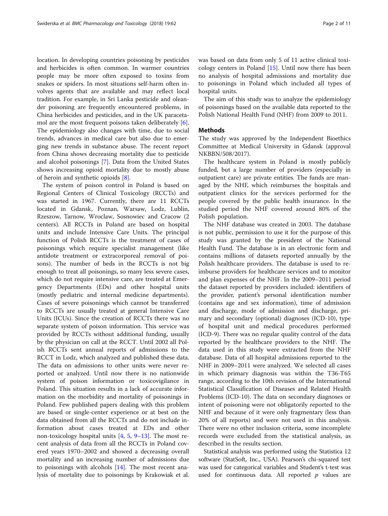location. In developing countries poisoning by pesticides and herbicides is often common. In warmer countries people may be more often exposed to toxins from snakes or spiders. In most situations self-harm often involves agents that are available and may reflect local tradition. For example, in Sri Lanka pesticide and oleander poisoning are frequently encountered problems, in China herbicides and pesticides, and in the UK paracetamol are the most frequent poisons taken deliberately [\[6](#page-9-0)]. The epidemiology also changes with time, due to social trends, advances in medical care but also due to emerging new trends in substance abuse. The recent report from China shows decreasing mortality due to pesticide and alcohol poisonings [[7\]](#page-9-0). Data from the United States shows increasing opioid mortality due to mostly abuse of heroin and synthetic opioids [\[8](#page-9-0)].

The system of poison control in Poland is based on Regional Centers of Clinical Toxicology (RCCTs) and was started in 1967. Currently, there are 11 RCCTs located in Gdansk, Poznan, Warsaw, Lodz, Lublin, Rzeszow, Tarnow, Wroclaw, Sosnowiec and Cracow (2 centers). All RCCTs in Poland are based on hospital units and include Intensive Care Units. The principal function of Polish RCCTs is the treatment of cases of poisonings which require specialist management (like antidote treatment or extracorporeal removal of poisons). The number of beds in the RCCTs is not big enough to treat all poisonings, so many less severe cases, which do not require intensive care, are treated at Emergency Departments (EDs) and other hospital units (mostly pediatric and internal medicine departments). Cases of severe poisonings which cannot be transferred to RCCTs are usually treated at general Intensive Care Units (ICUs). Since the creation of RCCTs there was no separate system of poison information. This service was provided by RCCTs without additional funding, usually by the physician on call at the RCCT. Until 2002 all Polish RCCTs sent annual reports of admissions to the RCCT in Lodz, which analyzed and published these data. The data on admissions to other units were never reported or analyzed. Until now there is no nationwide system of poison information or toxicovigilance in Poland. This situation results in a lack of accurate information on the morbidity and mortality of poisonings in Poland. Few published papers dealing with this problem are based or single-center experience or at best on the data obtained from all the RCCTs and do not include information about cases treated at EDs and other non-toxicology hospital units [[4](#page-9-0), [5](#page-9-0), [9](#page-9-0)–[13](#page-9-0)]. The most recent analysis of data from all the RCCTs in Poland covered years 1970–2002 and showed a decreasing overall mortality and an increasing number of admissions due to poisonings with alcohols [\[14](#page-9-0)]. The most recent analysis of mortality due to poisonings by Krakowiak et al. was based on data from only 5 of 11 active clinical toxicology centers in Poland [[15](#page-9-0)]. Until now there has been no analysis of hospital admissions and mortality due to poisonings in Poland which included all types of hospital units.

The aim of this study was to analyze the epidemiology of poisonings based on the available data reported to the Polish National Health Fund (NHF) from 2009 to 2011.

# **Methods**

The study was approved by the Independent Bioethics Committee at Medical University in Gdansk (approval NKBBN/508/2017).

The healthcare system in Poland is mostly publicly funded, but a large number of providers (especially in outpatient care) are private entities. The funds are managed by the NHF, which reimburses the hospitals and outpatient clinics for the services performed for the people covered by the public health insurance. In the studied period the NHF covered around 80% of the Polish population.

The NHF database was created in 2003. The database is not public, permission to use it for the purpose of this study was granted by the president of the National Health Fund. The database is in an electronic form and contains millions of datasets reported annually by the Polish healthcare providers. The database is used to reimburse providers for healthcare services and to monitor and plan expenses of the NHF. In the 2009–2011 period the dataset reported by providers included: identifiers of the provider, patient's personal identification number (contains age and sex information), time of admission and discharge, mode of admission and discharge, primary and secondary (optional) diagnoses (ICD-10), type of hospital unit and medical procedures performed (ICD-9). There was no regular quality control of the data reported by the healthcare providers to the NHF. The data used in this study were extracted from the NHF database. Data of all hospital admissions reported to the NHF in 2009–2011 were analyzed. We selected all cases in which primary diagnosis was within the T36-T65 range, according to the 10th revision of the International Statistical Classification of Diseases and Related Health Problems (ICD-10). The data on secondary diagnoses or intent of poisoning were not obligatorily reported to the NHF and because of it were only fragmentary (less than 20% of all reports) and were not used in this analysis. There were no other inclusion criteria, some incomplete records were excluded from the statistical analysis, as described in the results section.

Statistical analysis was performed using the Statistica 12 software (StatSoft, Inc., USA). Pearson's chi-squared test was used for categorical variables and Student's t-test was used for continuous data. All reported  $p$  values are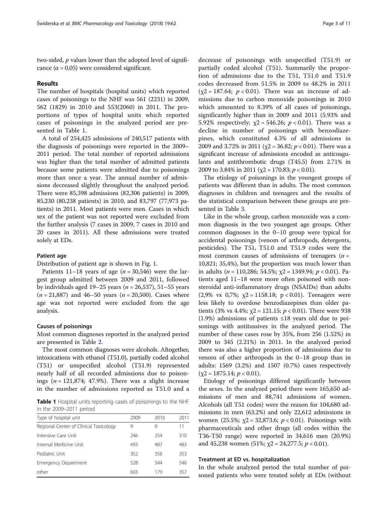two-sided,  $p$  values lower than the adopted level of significance  $(\alpha = 0.05)$  were considered significant.

# Results

The number of hospitals (hospital units) which reported cases of poisonings to the NHF was 561 (2231) in 2009, 562 (1829) in 2010 and 553(2060) in 2011. The proportions of types of hospital units which reported cases of poisonings in the analyzed period are presented in Table 1.

A total of 254,425 admissions of 240,517 patients with the diagnosis of poisonings were reported in the 2009– 2011 period. The total number of reported admissions was higher than the total number of admitted patients because some patients were admitted due to poisonings more than once a year. The annual number of admissions decreased slightly throughout the analyzed period. There were 85,398 admissions (82,306 patients) in 2009, 85,230 (80,238 patients) in 2010, and 83,797 (77,973 patients) in 2011. Most patients were men. Cases in which sex of the patient was not reported were excluded from the further analysis (7 cases in 2009, 7 cases in 2010 and 20 cases in 2011). All these admissions were treated solely at EDs.

# Patient age

Distribution of patient age is shown in Fig. [1.](#page-3-0)

Patients 11–18 years of age ( $n = 30,546$ ) were the largest group admitted between 2009 and 2011, followed by individuals aged  $19-25$  years ( $n = 26,537$ ),  $51-55$  years  $(n = 21,887)$  and 46–50 years  $(n = 20,500)$ . Cases where age was not reported were excluded from the age analysis.

# Causes of poisonings

Most common diagnoses reported in the analyzed period are presented in Table [2.](#page-3-0)

The most common diagnoses were alcohols. Altogether, intoxications with ethanol (T51.0), partially coded alcohol (T51) or unspecified alcohol (T51.9) represented nearly half of all recorded admissions due to poisonings  $(n = 121,874; 47.9\%)$ . There was a slight increase in the number of admissions reported as T51.0 and a

Table 1 Hospital units reporting cases of poisonings to the NHF in the 2009–2011 period

| Type of hospital unit                  | 2009 | 2010 | 2011 |
|----------------------------------------|------|------|------|
| Regional Center of Clinical Toxicology | 9    | 9    | 11   |
| Intensive Care Unit                    | 246  | 254  | 310  |
| Internal Medicine Unit                 | 493  | 487  | 483  |
| Pediatric Unit                         | 352  | 356  | 353  |
| <b>Emergency Department</b>            | 528  | 544  | 546  |
| other                                  | 603  | 179  | 357  |

decrease of poisonings with unspecified (T51.9) or partially coded alcohol (T51). Summarily the proportion of admissions due to the T51, T51.0 and T51.9 codes decreased from 51.5% in 2009 to 48.2% in 2011  $(\chi^2 = 187.64; p < 0.01)$ . There was an increase of admissions due to carbon monoxide poisonings in 2010 which amounted to 8.39% of all cases of poisonings, significantly higher than in 2009 and 2011 (5.93% and 5.92% respectively;  $\chi$ 2 = 546.26;  $p < 0.01$ ). There was a decline in number of poisonings with benzodiazepines, which constituted 4.3% of all admissions in 2009 and 3.72% in 2011 ( $\chi$ 2 = 36.82;  $p$  < 0.01). There was a significant increase of admissions encoded as anticoagulants and antithrombotic drugs (T45.5) from 2.71% in 2009 to 3.84% in 2011 ( $\chi$ 2 = 170.83;  $p < 0.01$ ).

The etiology of poisonings in the youngest groups of patients was different than in adults. The most common diagnoses in children and teenagers and the results of the statistical comparison between these groups are presented in Table [3.](#page-4-0)

Like in the whole group, carbon monoxide was a common diagnosis in the two youngest age groups. Other common diagnoses in the 0–10 group were typical for accidental poisonings (venom of arthropods, detergents, pesticides). The T51, T51.0 and T51.9 codes were the most common causes of admissions of teenagers  $(n =$ 10,821; 35,4%), but the proportion was much lower than in adults ( $n = 110,286$ ; 54.5%;  $\chi$ 2 = 1349.94;  $p < 0.01$ ). Patients aged 11–18 were more often poisoned with nonsteroidal anti-inflammatory drugs (NSAIDs) than adults (2,9% vs 0,7%;  $\chi$ 2 = 1158.18; p < 0.01). Teenagers were less likely to overdose benzodiazepines than older patients (3% vs 4.4%;  $\chi$ 2 = 121.15;  $p < 0.01$ ). There were 938 (1.9%) admissions of patients  $\leq 18$  years old due to poisonings with antitussives in the analyzed period. The number of these cases rose by 35%, from 256 (1.52%) in 2009 to 345 (2.21%) in 2011. In the analyzed period there was also a higher proportion of admissions due to venom of other arthropods in the 0–18 group than in adults: 1569 (3.2%) and 1507 (0.7%) cases respectively  $(\chi2 = 1875.14; p < 0.01).$ 

Etiology of poisonings differed significantly between the sexes. In the analyzed period there were 165,650 admissions of men and 88,741 admissions of women. Alcohols (all T51 codes) were the reason for 104,680 admissions in men (63.2%) and only 22,612 admissions in women (25.5%;  $\chi$ 2 = 32,873.6;  $p$  < 0.01). Poisonings with pharmaceuticals and other drugs (all codes within the T36-T50 range) were reported in 34,616 men (20.9%) and 45,238 women (51%;  $\chi$ 2 = 24,277.5;  $p < 0.01$ ).

## Treatment at ED vs. hospitalization

In the whole analyzed period the total number of poisoned patients who were treated solely at EDs (without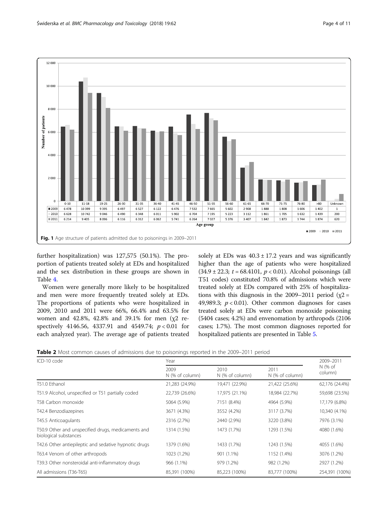<span id="page-3-0"></span>

further hospitalization) was 127,575 (50.1%). The proportion of patients treated solely at EDs and hospitalized and the sex distribution in these groups are shown in Table [4.](#page-4-0)

Women were generally more likely to be hospitalized and men were more frequently treated solely at EDs. The proportions of patients who were hospitalized in 2009, 2010 and 2011 were 66%, 66.4% and 63.5% for women and 42.8%, 42.8% and 39.1% for men (χ2 respectively 4146.56, 4337.91 and 4549.74;  $p < 0.01$  for each analyzed year). The average age of patients treated solely at EDs was  $40.3 \pm 17.2$  years and was significantly higher than the age of patients who were hospitalized  $(34.9 \pm 22.3; t = 68.4101, p < 0.01)$ . Alcohol poisonings (all T51 codes) constituted 70.8% of admissions which were treated solely at EDs compared with 25% of hospitalizations with this diagnosis in the 2009–2011 period ( $\chi$ 2 = 49,989.3;  $p < 0.01$ ). Other common diagnoses for cases treated solely at EDs were carbon monoxide poisoning (5404 cases; 4.2%) and envenomation by arthropods (2106 cases; 1.7%). The most common diagnoses reported for hospitalized patients are presented in Table [5.](#page-5-0)

| Table 2 Most common causes of admissions due to poisonings reported in the 2009-2011 period |  |  |  |  |
|---------------------------------------------------------------------------------------------|--|--|--|--|
|---------------------------------------------------------------------------------------------|--|--|--|--|

| ICD-10 code                                                                 | Year                    | 2009-2011               |                         |                    |
|-----------------------------------------------------------------------------|-------------------------|-------------------------|-------------------------|--------------------|
|                                                                             | 2009<br>N (% of column) | 2010<br>N (% of column) | 2011<br>N (% of column) | N (% of<br>column) |
| T51.0 Ethanol                                                               | 21,283 (24.9%)          | 19,471 (22.9%)          | 21,422 (25.6%)          | 62,176 (24.4%)     |
| T51.9 Alcohol, unspecified or T51 partially coded                           | 22,739 (26.6%)          | 17,975 (21.1%)          | 18,984 (22.7%)          | 59,698 (23.5%)     |
| T58 Carbon monoxide                                                         | 5064 (5.9%)             | 7151 (8.4%)             | 4964 (5.9%)             | 17,179 (6.8%)      |
| T42.4 Benzodiazepines                                                       | 3671 (4.3%)             | 3552 (4.2%)             | 3117 (3.7%)             | 10,340 (4.1%)      |
| T45.5 Anticoagulants                                                        | 2316 (2.7%)             | 2440 (2.9%)             | 3220 (3.8%)             | 7976 (3.1%)        |
| T50.9 Other and unspecified drugs, medicaments and<br>biological substances | 1314 (1.5%)             | 1473 (1.7%)             | 1293 (1.5%)             | 4080 (1.6%)        |
| T42.6 Other antiepileptic and sedative hypnotic drugs                       | 1379 (1.6%)             | 1433 (1.7%)             | 1243 (1.5%)             | 4055 (1.6%)        |
| T63.4 Venom of other arthropods                                             | 1023 (1.2%)             | 901 (1.1%)              | 1152 (1.4%)             | 3076 (1.2%)        |
| T39.3 Other nonsteroidal anti-inflammatory drugs                            | 966 (1.1%)              | 979 (1.2%)              | 982 (1.2%)              | 2927 (1.2%)        |
| All admissions (T36-T65)                                                    | 85,391 (100%)           | 85,223 (100%)           | 83.777 (100%)           | 254,391 (100%)     |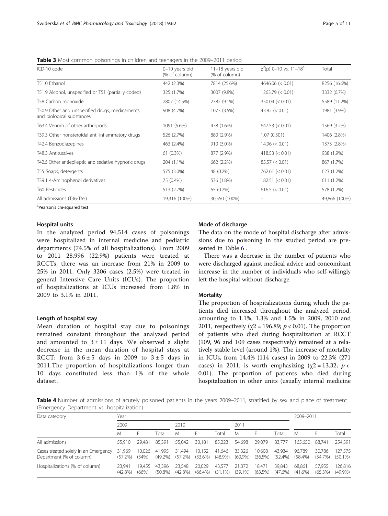<span id="page-4-0"></span>Table 3 Most common poisonings in children and teenagers in the 2009–2011 period

| ICD-10 code                                                                 | 0-10 years old<br>(% of column) | 11-18 years old<br>(% of column) | $x^2(p)$ 0-10 vs. 11-18 <sup>a</sup> | Total         |
|-----------------------------------------------------------------------------|---------------------------------|----------------------------------|--------------------------------------|---------------|
| T51.0 Fthanol                                                               | 442 (2.3%)                      | 7814 (25.6%)                     | $4646.06 \le 0.01$                   | 8256 (16.6%)  |
| T51.9 Alcohol, unspecified or T51 (partially coded)                         | 325 (1.7%)                      | 3007 (9.8%)                      | $1263.79 \le 0.01$                   | 3332 (6.7%)   |
| T58 Carbon monoxide                                                         | 2807 (14.5%)                    | 2782 (9.1%)                      | 350.04 (< 0.01)                      | 5589 (11.2%)  |
| T50.9 Other and unspecified drugs, medicaments<br>and biological substances | 908 (4.7%)                      | 1073 (3.5%)                      | 43.82 $(< 0.01)$                     | 1981 (3.9%)   |
| T63.4 Venom of other arthropods                                             | 1091 (5.6%)                     | 478 (1.6%)                       | 647.53 (< 0.01)                      | 1569 (3.2%)   |
| T39.3 Other nonsteroidal anti-inflammatory drugs                            | 526 (2.7%)                      | 880 (2.9%)                       | 1.07(0.301)                          | 1406 (2.8%)   |
| T42.4 Benzodiazepines                                                       | 463 (2.4%)                      | 910 (3.0%)                       | 14.96 (< 0.01)                       | 1373 (2.8%)   |
| T48.3 Antitussives                                                          | 61(0.3%)                        | 877 (2.9%)                       | 418.53 $(< 0.01)$                    | 938 (1.9%)    |
| T42.6 Other antiepileptic and sedative hypnotic drugs                       | 204 (1.1%)                      | 662 (2.2%)                       | 85.57 (< 0.01)                       | 867 (1.7%)    |
| T55 Soaps, detergents                                                       | 575 (3.0%)                      | 48 (0.2%)                        | 762.61 (< 0.01)                      | 623 (1.2%)    |
| T39.1 4-Aminophenol derivatives                                             | 75 (0.4%)                       | 536 (1.8%)                       | 182.51 (< 0.01)                      | 611 (1.2%)    |
| <b>T60 Pesticides</b>                                                       | 513 (2.7%)                      | 65 (0.2%)                        | 616.5 (< 0.01)                       | 578 (1.2%)    |
| All admissions (T36-T65)                                                    | 19,316 (100%)                   | 30,550 (100%)                    |                                      | 49,866 (100%) |

<sup>a</sup>Pearson's chi-squared test

# Hospital units

In the analyzed period 94,514 cases of poisonings were hospitalized in internal medicine and pediatric departments (74.5% of all hospitalizations). From 2009 to 2011 28,996 (22.9%) patients were treated at RCCTs, there was an increase from 21% in 2009 to 25% in 2011. Only 3206 cases (2.5%) were treated in general Intensive Care Units (ICUs). The proportion of hospitalizations at ICUs increased from 1.8% in 2009 to 3.1% in 2011.

# Length of hospital stay

Mean duration of hospital stay due to poisonings remained constant throughout the analyzed period and amounted to  $3 \pm 11$  days. We observed a slight decrease in the mean duration of hospital stays at RCCT: from  $3.6 \pm 5$  days in 2009 to  $3 \pm 5$  days in 2011.The proportion of hospitalizations longer than 10 days constituted less than 1% of the whole dataset.

# Mode of discharge

The data on the mode of hospital discharge after admissions due to poisoning in the studied period are presented in Table [6](#page-5-0) .

There was a decrease in the number of patients who were discharged against medical advice and concomitant increase in the number of individuals who self-willingly left the hospital without discharge.

# **Mortality**

The proportion of hospitalizations during which the patients died increased throughout the analyzed period, amounting to 1.1%, 1.3% and 1.5% in 2009, 2010 and 2011, respectively ( $\chi$ 2 = 196.89;  $p$  < 0.01). The proportion of patients who died during hospitalization at RCCT (109, 96 and 109 cases respectively) remained at a relatively stable level (around 1%). The increase of mortality in ICUs, from 14.4% (114 cases) in 2009 to 22.3% (271 cases) in 2011, is worth emphasizing  $(\chi^2 = 13.32; p <$ 0.01). The proportion of patients who died during hospitalization in other units (usually internal medicine

Table 4 Number of admissions of acutely poisoned patients in the years 2009–2011, stratified by sex and place of treatment (Emergency Department vs. hospitalization)

| Data category                                                    | Year                 |                 |                      |                      |                      |                      |                      | 2009-2011            |                      |                      |                      |                       |
|------------------------------------------------------------------|----------------------|-----------------|----------------------|----------------------|----------------------|----------------------|----------------------|----------------------|----------------------|----------------------|----------------------|-----------------------|
|                                                                  | 2009                 |                 | 2010                 |                      | 2011                 |                      |                      |                      |                      |                      |                      |                       |
|                                                                  | M                    | ь.              | Total                | M                    |                      | Total                | M                    |                      | Total                | M                    |                      | Total                 |
| All admissions                                                   | 55.910               | 29.481          | 85.391               | 55.042               | 30.181               | 85,223               | 54,698               | 29.079               | 83.777               | 165.650              | 88.741               | 254,391               |
| Cases treated solely in an Emergency<br>Department (% of column) | 31.969<br>(57.2%)    | 10.026<br>(34%) | 41.995<br>$(49.2\%)$ | 31.494<br>(57.2%)    | 10,152<br>$(33.6\%)$ | 41,646<br>$(48.9\%)$ | 33,326<br>$(60,9\%)$ | 10,608<br>$(36.5\%)$ | 43.934<br>$(52.4\%)$ | 96.789<br>$(58.4\%)$ | 30.786<br>$(34.7\%)$ | 127.575<br>$(50.1\%)$ |
| Hospitalizations (% of column)                                   | 23.941<br>$(42.8\%)$ | 19.455<br>(66%) | 43.396<br>$(50.8\%)$ | 23.548<br>$(42.8\%)$ | 20.029<br>$(66.4\%)$ | 43.577<br>$(51.1\%)$ | 21.372<br>(39.1%)    | 18.471<br>$(63.5\%)$ | 39.843<br>$(47.6\%)$ | 68.861<br>$(41.6\%)$ | 57.955<br>$(65.3\%)$ | 126,816<br>$(49.9\%)$ |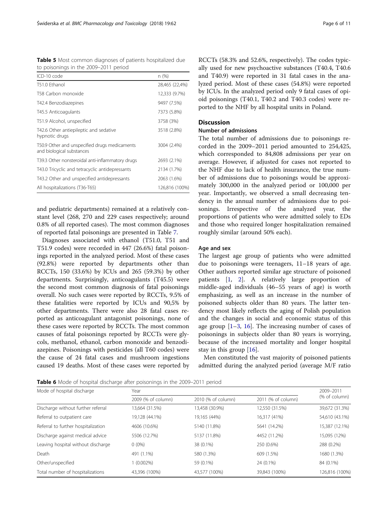<span id="page-5-0"></span>

| <b>Table 5</b> Most common diagnoses of patients hospitalized due |  |  |  |
|-------------------------------------------------------------------|--|--|--|
| to poisonings in the 2009-2011 period                             |  |  |  |

| ICD-10 code                                                                | n (%)          |
|----------------------------------------------------------------------------|----------------|
| T51.0 Fthanol                                                              | 28,465 (22,4%) |
| T58 Carbon monoxide                                                        | 12,333 (9.7%)  |
| T42.4 Benzodiazepines                                                      | 9497 (7.5%)    |
| T45.5 Anticoagulants                                                       | 7373 (5.8%)    |
| T51.9 Alcohol, unspecified                                                 | 3758 (3%)      |
| T42.6 Other antiepileptic and sedative<br>hypnotic drugs                   | 3518 (2.8%)    |
| T50.9 Other and unspecified drugs medicaments<br>and biological substances | 3004 (2.4%)    |
| T39.3 Other nonsteroidal anti-inflammatory drugs                           | 2693 (2.1%)    |
| T43.0 Tricyclic and tetracyclic antidepressants                            | 2134 (1.7%)    |
| T43.2 Other and unspecified antidepressants                                | 2063 (1.6%)    |
| All hospitalizations (T36-T65)                                             | 126,816 (100%) |

and pediatric departments) remained at a relatively constant level (268, 270 and 229 cases respectively; around 0.8% of all reported cases). The most common diagnoses of reported fatal poisonings are presented in Table [7](#page-6-0).

Diagnoses associated with ethanol (T51.0, T51 and T51.9 codes) were recorded in 447 (26.6%) fatal poisonings reported in the analyzed period. Most of these cases (92.8%) were reported by departments other than RCCTs, 150 (33.6%) by ICUs and 265 (59.3%) by other departments. Surprisingly, anticoagulants (T45.5) were the second most common diagnosis of fatal poisonings overall. No such cases were reported by RCCTs, 9.5% of these fatalities were reported by ICUs and 90,5% by other departments. There were also 28 fatal cases reported as anticoagulant antagonist poisonings, none of these cases were reported by RCCTs. The most common causes of fatal poisonings reported by RCCTs were glycols, methanol, ethanol, carbon monoxide and benzodiazepines. Poisonings with pesticides (all T60 codes) were the cause of 24 fatal cases and mushroom ingestions caused 19 deaths. Most of these cases were reported by RCCTs (58.3% and 52.6%, respectively). The codes typically used for new psychoactive substances (T40.4, T40.6 and T40.9) were reported in 31 fatal cases in the analyzed period. Most of these cases (54.8%) were reported by ICUs. In the analyzed period only 9 fatal cases of opioid poisonings (T40.1, T40.2 and T40.3 codes) were reported to the NHF by all hospital units in Poland.

# Discussion

# Number of admissions

The total number of admissions due to poisonings recorded in the 2009–2011 period amounted to 254,425, which corresponded to 84,808 admissions per year on average. However, if adjusted for cases not reported to the NHF due to lack of health insurance, the true number of admissions due to poisonings would be approximately 300,000 in the analyzed period or 100,000 per year. Importantly, we observed a small decreasing tendency in the annual number of admissions due to poisonings. Irrespective of the analyzed year, the proportions of patients who were admitted solely to EDs and those who required longer hospitalization remained roughly similar (around 50% each).

# Age and sex

The largest age group of patients who were admitted due to poisonings were teenagers, 11–18 years of age. Other authors reported similar age structure of poisoned patients [\[1](#page-9-0), [2\]](#page-9-0). A relatively large proportion of middle-aged individuals (46–55 years of age) is worth emphasizing, as well as an increase in the number of poisoned subjects older than 80 years. The latter tendency most likely reflects the aging of Polish population and the changes in social and economic status of this age group  $[1-3, 16]$  $[1-3, 16]$  $[1-3, 16]$  $[1-3, 16]$  $[1-3, 16]$  $[1-3, 16]$  $[1-3, 16]$ . The increasing number of cases of poisonings in subjects older than 80 years is worrying, because of the increased mortality and longer hospital stay in this group [\[16](#page-10-0)].

Men constituted the vast majority of poisoned patients admitted during the analyzed period (average M/F ratio

Table 6 Mode of hospital discharge after poisonings in the 2009–2011 period

| Mode of hospital discharge          | Year               |                    |                    |                |  |  |  |
|-------------------------------------|--------------------|--------------------|--------------------|----------------|--|--|--|
|                                     | 2009 (% of column) | 2010 (% of column) | 2011 (% of column) | (% of column)  |  |  |  |
| Discharge without further referral  | 13,664 (31.5%)     | 13,458 (30.9%)     | 12,550 (31.5%)     | 39,672 (31.3%) |  |  |  |
| Referral to outpatient care         | 19,128 (44.1%)     | 19,165 (44%)       | 16,317 (41%)       | 54,610 (43.1%) |  |  |  |
| Referral to further hospitalization | 4606 (10.6%)       | 5140 (11.8%)       | 5641 (14.2%)       | 15,387 (12.1%) |  |  |  |
| Discharge against medical advice    | 5506 (12.7%)       | 5137 (11.8%)       | 4452 (11.2%)       | 15,095 (12%)   |  |  |  |
| Leaving hospital without discharge  | $0(0\%)$           | 38 (0.1%)          | 250 (0.6%)         | 288 (0.2%)     |  |  |  |
| Death                               | 491 (1.1%)         | 580 (1.3%)         | 609 (1.5%)         | 1680 (1.3%)    |  |  |  |
| Other/unspecified                   | $(0.002\%)$        | 59 (0.1%)          | 24 (0.1%)          | 84 (0.1%)      |  |  |  |
| Total number of hospitalizations    | 43,396 (100%)      | 43,577 (100%)      | 39,843 (100%)      | 126,816 (100%) |  |  |  |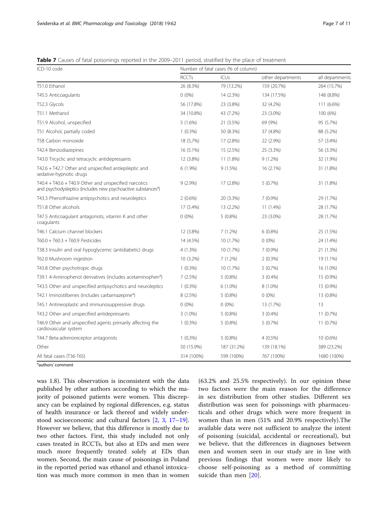<span id="page-6-0"></span>

| ICD-10 code                                                                                                                        |              | Number of fatal cases (% of column) |                   |                 |
|------------------------------------------------------------------------------------------------------------------------------------|--------------|-------------------------------------|-------------------|-----------------|
|                                                                                                                                    | <b>RCCTs</b> | ICUs                                | other departments | all departments |
| T51.0 Ethanol                                                                                                                      | 26 (8.3%)    | 79 (13.2%)                          | 159 (20.7%)       | 264 (15.7%)     |
| T45.5 Anticoagulants                                                                                                               | $0(0\%)$     | 14 (2.3%)                           | 134 (17.5%)       | 148 (8.8%)      |
| T52.3 Glycols                                                                                                                      | 56 (17.8%)   | 23 (3.8%)                           | 32 (4.2%)         | 111 (6.6%)      |
| T51.1 Methanol                                                                                                                     | 34 (10.8%)   | 43 (7.2%)                           | 23 (3.0%)         | 100 (6%)        |
| T51.9 Alcohol, unspecified                                                                                                         | 5(1.6%)      | 21 (3.5%)                           | 69 (9%)           | 95 (5.7%)       |
| T51 Alcohol, partially coded                                                                                                       | $1(0.3\%)$   | 50 (8.3%)                           | 37 (4.8%)         | 88 (5.2%)       |
| T58 Carbon monoxide                                                                                                                | 18 (5,7%)    | 17 (2.8%)                           | 22 (2.9%)         | 57 (3.4%)       |
| T42.4 Benzodiazepines                                                                                                              | 16 (5.1%)    | 15 (2.5%)                           | 25 (3.3%)         | 56 (3.3%)       |
| T43.0 Tricyclic and tetracyclic antidepressants                                                                                    | 12 (3.8%)    | 11 (1.8%)                           | $9(1.2\%)$        | 32 (1.9%)       |
| T42.6 + T42.7 Other and unspecified antiepileptic and<br>sedative-hypnotic drugs                                                   | $6(1.9\%)$   | 9(1.5%)                             | 16 (2.1%)         | 31 (1.8%)       |
| T40.4 + T40.6 + T40.9 Other and unspecified narcotics<br>and psychodysleptics (includes new psychoactive substances <sup>a</sup> ) | $9(2.9\%)$   | 17 (2.8%)                           | 5(0.7%)           | 31 (1.8%)       |
| T43.3 Phenothiazine antipsychotics and neuroleptics                                                                                | $2(0.6\%)$   | 20 (3.3%)                           | $7(0.9\%)$        | 29 (1.7%)       |
| T51.8 Other alcohols                                                                                                               | 17 (5.4%)    | 13 (2.2%)                           | 11 (1.4%)         | 28 (1.7%)       |
| T47.5 Anticoagulant antagonists, vitamin K and other<br>coagulants                                                                 | $0(0\%)$     | $5(0.8\%)$                          | 23 (3.0%)         | 28 (1.7%)       |
| T46.1 Calcium channel blockers                                                                                                     | 12 (3.8%)    | 7(1.2%)                             | $6(0.8\%)$        | 25 (1.5%)       |
| $T60.0 + T60.3 + T60.9$ Pesticides                                                                                                 | 14 (4.5%)    | 10 (1.7%)                           | $0(0\%)$          | 24 (1.4%)       |
| T38.3 Insulin and oral hypoglycemic (antidiabetic) drugs                                                                           | 4(1.3%)      | 10 (1.7%)                           | $7(0.9\%)$        | 21 (1.3%)       |
| T62.0 Mushroom ingestion                                                                                                           | 10 (3.2%)    | 7(1.2%)                             | 2(0.3%)           | 19 (1.1%)       |
| T43.8 Other psychotropic drugs                                                                                                     | $1(0.3\%)$   | 10 (1.7%)                           | 5(0,7%)           | 16 (1.0%)       |
| T39.1 4-Aminophenol derivatives (includes acetaminophen <sup>a</sup> )                                                             | 7(2.5%)      | $5(0.8\%)$                          | $3(0.4\%)$        | 15 (0.9%)       |
| T43.5 Other and unspecified antipsychotics and neuroleptics                                                                        | $1(0.3\%)$   | $6(1.0\%)$                          | $8(1.0\%)$        | 15 (0.9%)       |
| T42.1 Iminostilbenes (includes carbamazepine <sup>a</sup> )                                                                        | 8 (2.5%)     | $5(0.8\%)$                          | $0(0\%)$          | 13 (0.8%)       |
| T45.1 Antineoplastic and immunosuppressive drugs                                                                                   | $0(0\%)$     | $0(0\%)$                            | 13 (1.7%)         | 13              |
| T43.2 Other and unspecified antidepressants                                                                                        | $3(1.0\%)$   | $5(0.8\%)$                          | $3(0.4\%)$        | $11(0.7\%)$     |
| T46.9 Other and unspecified agents primarily affecting the<br>cardiovascular system                                                | $1(0.3\%)$   | $5(0.8\%)$                          | 5(0.7%)           | 11 (0.7%)       |
| T44.7 Beta-adrenoreceptor antagonists                                                                                              | $1(0,3\%)$   | $5(0.8\%)$                          | $4(0.5\%)$        | 10 (0.6%)       |
| Other                                                                                                                              | 50 (15.9%)   | 187 (31.2%)                         | 139 (18.1%)       | 389 (23.2%)     |
| All fatal cases (T36-T65)                                                                                                          | 314 (100%)   | 599 (100%)                          | 767 (100%)        | 1680 (100%)     |

<sup>a</sup>authors' comment

was 1.8). This observation is inconsistent with the data published by other authors according to which the majority of poisoned patients were women. This discrepancy can be explained by regional differences, e.g. status of health insurance or lack thereof and widely understood socioeconomic and cultural factors [\[2](#page-9-0), [3](#page-9-0), [17](#page-10-0)–[19](#page-10-0)]. However we believe, that this difference is mostly due to two other factors. First, this study included not only cases treated in RCCTs, but also at EDs and men were much more frequently treated solely at EDs than women. Second, the main cause of poisonings in Poland in the reported period was ethanol and ethanol intoxication was much more common in men than in women

(63.2% and 25.5% respectively). In our opinion these two factors were the main reason for the difference in sex distribution from other studies. Different sex distribution was seen for poisonings with pharmaceuticals and other drugs which were more frequent in women than in men (51% and 20.9% respectively).The available data were not sufficient to analyze the intent of poisoning (suicidal, accidental or recreational), but we believe, that the differences in diagnoses between men and women seen in our study are in line with previous findings that women were more likely to choose self-poisoning as a method of committing suicide than men [[20\]](#page-10-0).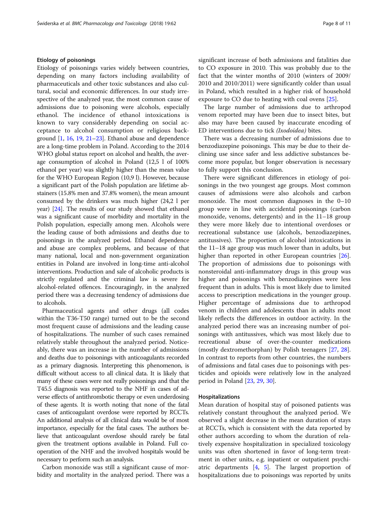# Etiology of poisonings

Etiology of poisonings varies widely between countries, depending on many factors including availability of pharmaceuticals and other toxic substances and also cultural, social and economic differences. In our study irrespective of the analyzed year, the most common cause of admissions due to poisoning were alcohols, especially ethanol. The incidence of ethanol intoxications is known to vary considerably depending on social acceptance to alcohol consumption or religious background [[1,](#page-9-0) [16,](#page-10-0) [19](#page-10-0), [21](#page-10-0)–[23\]](#page-10-0). Ethanol abuse and dependence are a long-time problem in Poland. According to the 2014 WHO global status report on alcohol and health, the average consumption of alcohol in Poland (12,5 l of 100% ethanol per year) was slightly higher than the mean value for the WHO European Region (10,9 l). However, because a significant part of the Polish population are lifetime abstainers (15.8% men and 37.8% women), the mean amount consumed by the drinkers was much higher (24,2 l per year) [\[24\]](#page-10-0). The results of our study showed that ethanol was a significant cause of morbidity and mortality in the Polish population, especially among men. Alcohols were the leading cause of both admissions and deaths due to poisonings in the analyzed period. Ethanol dependence and abuse are complex problems, and because of that many national, local and non-government organization entities in Poland are involved in long-time anti-alcohol interventions. Production and sale of alcoholic products is strictly regulated and the criminal law is severe for alcohol-related offences. Encouragingly, in the analyzed period there was a decreasing tendency of admissions due to alcohols.

Pharmaceutical agents and other drugs (all codes within the T36-T50 range) turned out to be the second most frequent cause of admissions and the leading cause of hospitalizations. The number of such cases remained relatively stable throughout the analyzed period. Noticeably, there was an increase in the number of admissions and deaths due to poisonings with anticoagulants recorded as a primary diagnosis. Interpreting this phenomenon, is difficult without access to all clinical data. It is likely that many of these cases were not really poisonings and that the T45.5 diagnosis was reported to the NHF in cases of adverse effects of antithrombotic therapy or even underdosing of these agents. It is worth noting that none of the fatal cases of anticoagulant overdose were reported by RCCTs. An additional analysis of all clinical data would be of most importance, especially for the fatal cases. The authors believe that anticoagulant overdose should rarely be fatal given the treatment options available in Poland. Full cooperation of the NHF and the involved hospitals would be necessary to perform such an analysis.

Carbon monoxide was still a significant cause of morbidity and mortality in the analyzed period. There was a significant increase of both admissions and fatalities due to CO exposure in 2010. This was probably due to the fact that the winter months of 2010 (winters of 2009/ 2010 and 2010/2011) were significantly colder than usual in Poland, which resulted in a higher risk of household exposure to CO due to heating with coal ovens [\[25](#page-10-0)].

The large number of admissions due to arthropod venom reported may have been due to insect bites, but also may have been caused by inaccurate encoding of ED interventions due to tick (Ixodoidea) bites.

There was a decreasing number of admissions due to benzodiazepine poisonings. This may be due to their declining use since safer and less addictive substances become more popular, but longer observation is necessary to fully support this conclusion.

There were significant differences in etiology of poisonings in the two youngest age groups. Most common causes of admissions were also alcohols and carbon monoxide. The most common diagnoses in the 0–10 group were in line with accidental poisonings (carbon monoxide, venoms, detergents) and in the 11–18 group they were more likely due to intentional overdoses or recreational substance use (alcohols, benzodiazepines, antitussives). The proportion of alcohol intoxications in the 11–18 age group was much lower than in adults, but higher than reported in other European countries [\[26](#page-10-0)]. The proportion of admissions due to poisonings with nonsteroidal anti-inflammatory drugs in this group was higher and poisonings with benzodiazepines were less frequent than in adults. This is most likely due to limited access to prescription medications in the younger group. Higher percentage of admissions due to arthropod venom in children and adolescents than in adults most likely reflects the differences in outdoor activity. In the analyzed period there was an increasing number of poisonings with antitussives, which was most likely due to recreational abuse of over-the-counter medications (mostly dextromethorphan) by Polish teenagers [[27,](#page-10-0) [28](#page-10-0)]. In contrast to reports from other countries, the numbers of admissions and fatal cases due to poisonings with pesticides and opioids were relatively low in the analyzed period in Poland [\[23,](#page-10-0) [29,](#page-10-0) [30\]](#page-10-0).

# Hospitalizations

Mean duration of hospital stay of poisoned patients was relatively constant throughout the analyzed period. We observed a slight decrease in the mean duration of stays at RCCTs, which is consistent with the data reported by other authors according to whom the duration of relatively expensive hospitalization in specialized toxicology units was often shortened in favor of long-term treatment in other units, e.g. inpatient or outpatient psychiatric departments  $[4, 5]$  $[4, 5]$  $[4, 5]$  $[4, 5]$ . The largest proportion of hospitalizations due to poisonings was reported by units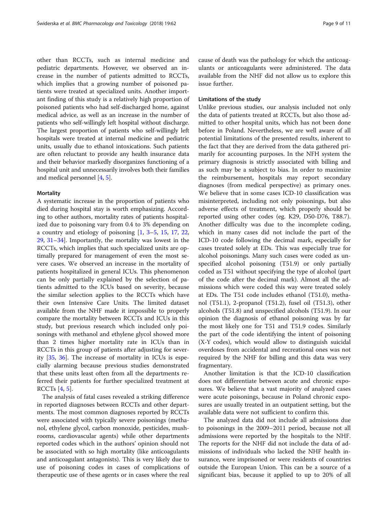other than RCCTs, such as internal medicine and pediatric departments. However, we observed an increase in the number of patients admitted to RCCTs, which implies that a growing number of poisoned patients were treated at specialized units. Another important finding of this study is a relatively high proportion of poisoned patients who had self-discharged home, against medical advice, as well as an increase in the number of patients who self-willingly left hospital without discharge. The largest proportion of patients who self-willingly left hospitals were treated at internal medicine and pediatric units, usually due to ethanol intoxications. Such patients are often reluctant to provide any health insurance data and their behavior markedly disorganizes functioning of a hospital unit and unnecessarily involves both their families and medical personnel [[4,](#page-9-0) [5](#page-9-0)].

# **Mortality**

A systematic increase in the proportion of patients who died during hospital stay is worth emphasizing. According to other authors, mortality rates of patients hospitalized due to poisoning vary from 0.4 to 3% depending on a country and etiology of poisoning [\[1,](#page-9-0) [3](#page-9-0)–[5,](#page-9-0) [15,](#page-9-0) [17,](#page-10-0) [22](#page-10-0), [29,](#page-10-0) [31](#page-10-0)–[34\]](#page-10-0). Importantly, the mortality was lowest in the RCCTs, which implies that such specialized units are optimally prepared for management of even the most severe cases. We observed an increase in the mortality of patients hospitalized in general ICUs. This phenomenon can be only partially explained by the selection of patients admitted to the ICUs based on severity, because the similar selection applies to the RCCTs which have their own Intensive Care Units. The limited dataset available from the NHF made it impossible to properly compare the mortality between RCCTs and ICUs in this study, but previous research which included only poisonings with methanol and ethylene glycol showed more than 2 times higher mortality rate in ICUs than in RCCTs in this group of patients after adjusting for severity [\[35](#page-10-0), [36](#page-10-0)]. The increase of mortality in ICUs is especially alarming because previous studies demonstrated that these units least often from all the departments referred their patients for further specialized treatment at RCCTs [[4,](#page-9-0) [5\]](#page-9-0).

The analysis of fatal cases revealed a striking difference in reported diagnoses between RCCTs and other departments. The most common diagnoses reported by RCCTs were associated with typically severe poisonings (methanol, ethylene glycol, carbon monoxide, pesticides, mushrooms, cardiovascular agents) while other departments reported codes which in the authors' opinion should not be associated with so high mortality (like anticoagulants and anticoagulant antagonists). This is very likely due to use of poisoning codes in cases of complications of therapeutic use of these agents or in cases where the real cause of death was the pathology for which the anticoagulants or anticoagulants were administered. The data available from the NHF did not allow us to explore this issue further.

# Limitations of the study

Unlike previous studies, our analysis included not only the data of patients treated at RCCTs, but also those admitted to other hospital units, which has not been done before in Poland. Nevertheless, we are well aware of all potential limitations of the presented results, inherent to the fact that they are derived from the data gathered primarily for accounting purposes. In the NFH system the primary diagnosis is strictly associated with billing and as such may be a subject to bias. In order to maximize the reimbursement, hospitals may report secondary diagnoses (from medical perspective) as primary ones. We believe that in some cases ICD-10 classification was misinterpreted, including not only poisonings, but also adverse effects of treatment, which properly should be reported using other codes (eg. K29, D50-D76, T88.7). Another difficulty was due to the incomplete coding, which in many cases did not include the part of the ICD-10 code following the decimal mark, especially for cases treated solely at EDs. This was especially true for alcohol poisonings. Many such cases were coded as unspecified alcohol poisoning (T51.9) or only partially coded as T51 without specifying the type of alcohol (part of the code after the decimal mark). Almost all the admissions which were coded this way were treated solely at EDs. The T51 code includes ethanol (T51.0), methanol (T51.1), 2-propanol (T51.2), fusel oil (T51.3), other alcohols (T51.8) and unspecified alcohols (T51.9). In our opinion the diagnosis of ethanol poisoning was by far the most likely one for T51 and T51.9 codes. Similarly the part of the code identifying the intent of poisoning (X-Y codes), which would allow to distinguish suicidal overdoses from accidental and recreational ones was not required by the NHF for billing and this data was very fragmentary.

Another limitation is that the ICD-10 classification does not differentiate between acute and chronic exposures. We believe that a vast majority of analyzed cases were acute poisonings, because in Poland chronic exposures are usually treated in an outpatient setting, but the available data were not sufficient to confirm this.

The analyzed data did not include all admissions due to poisonings in the 2009–2011 period, because not all admissions were reported by the hospitals to the NHF. The reports for the NHF did not include the data of admissions of individuals who lacked the NHF health insurance, were imprisoned or were residents of countries outside the European Union. This can be a source of a significant bias, because it applied to up to 20% of all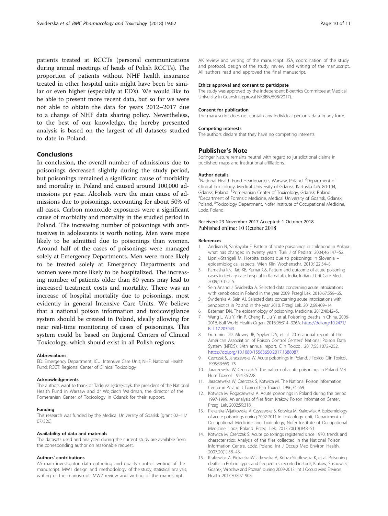<span id="page-9-0"></span>patients treated at RCCTs (personal communications during annual meetings of heads of Polish RCCTs). The proportion of patients without NHF health insurance treated in other hospital units might have been be similar or even higher (especially at ED's). We would like to be able to present more recent data, but so far we were not able to obtain the data for years 2012–2017 due to a change of NHF data sharing policy. Nevertheless, to the best of our knowledge, the hereby presented analysis is based on the largest of all datasets studied to date in Poland.

# Conclusions

In conclusion, the overall number of admissions due to poisonings decreased slightly during the study period, but poisonings remained a significant cause of morbidity and mortality in Poland and caused around 100,000 admissions per year. Alcohols were the main cause of admissions due to poisonings, accounting for about 50% of all cases. Carbon monoxide exposures were a significant cause of morbidity and mortality in the studied period in Poland. The increasing number of poisonings with antitussives in adolescents is worth noting. Men were more likely to be admitted due to poisonings than women. Around half of the cases of poisonings were managed solely at Emergency Departments. Men were more likely to be treated solely at Emergency Departments and women were more likely to be hospitalized. The increasing number of patients older than 80 years may lead to increased treatment costs and mortality. There was an increase of hospital mortality due to poisonings, most evidently in general Intensive Care Units. We believe that a national poison information and toxicovigilance system should be created in Poland, ideally allowing for near real-time monitoring of cases of poisonings. This system could be based on Regional Centers of Clinical Toxicology, which should exist in all Polish regions.

#### Abbreviations

ED: Emergency Department; ICU: Intensive Care Unit; NHF: National Health Fund; RCCT: Regional Center of Clinical Toxicology

#### Acknowledgements

The authors want to thank dr Tadeusz Jędrzęjczyk, the president of the National Health Fund in Warsaw and dr Wojciech Waldman, the director of the Pomeranian Center of Toxicology in Gdansk for their support.

#### Funding

This research was funded by the Medical University of Gdańsk (grant 02–11/ 07/320).

# Availability of data and materials

The datasets used and analyzed during the current study are available from the corresponding author on reasonable request.

#### Authors' contributions

AŚ main investigator, data gathering and quality control, writing of the manuscript. MW1 design and methodology of the study, statistical analysis, writing of the manuscript. MW2 review and writing of the manuscript.

AK review and writing of the manuscript. JSA, coordination of the study and protocol, design of the study, review and writing of the manuscript. All authors read and approved the final manuscript.

## Ethics approval and consent to participate

The study was approved by the Independent Bioethics Committee at Medical University in Gdansk (approval NKBBN/508/2017).

#### Consent for publication

The manuscript does not contain any individual person's data in any form.

#### Competing interests

The authors declare that they have no competing interests.

### Publisher's Note

Springer Nature remains neutral with regard to jurisdictional claims in published maps and institutional affiliations.

#### Author details

<sup>1</sup>National Health Fund Headquarters, Warsaw, Poland. <sup>2</sup>Department of Clinical Toxicology, Medical University of Gdansk, Kartuska 4/6, 80-104, Gdansk, Poland. <sup>3</sup> Pomeranian Center of Toxicology, Gdansk, Poland.<br><sup>4</sup> Department of Forensic Medicine, Medical University of Gdansk, G <sup>4</sup>Department of Forensic Medicine, Medical University of Gdansk, Gdansk, Poland. <sup>5</sup>Toxicology Department, Nofer Institute of Occupational Medicine Lodz, Poland.

# Received: 23 November 2017 Accepted: 1 October 2018 Published online: 10 October 2018

#### References

- 1. Andiran N, Sarikayalar F. Pattern of acute poisonings in childhood in Ankara: what has changed in twenty years. Turk J of Pediatr. 2004;46:147–52.
- 2. Lipnik-Stangeli M. Hospitalizations due to poisonings in Slovenia epidemiological aspects. Wien Klin Wochenschr. 2010;122:54–8.
- 3. Ramesha KN, Rao KB, Kumar GS. Pattern and outcome of acute poisoning cases in tertiary care hospital in Karnataka, India. Indian J Crit Care Med. 2009;13:152–5.
- 4. Sein Anand J, Świderska A. Selected data concerning acute intoxications with xenobiotics in Poland in the year 2009. Przegl Lek. 2010;67:559–65.
- 5. Świderska A, Sein AJ. Selected data concerning acute intoxications with xenobiotics in Poland in the year 2010. Przegl Lek. 2012;69:409–14.
- 6. Bateman DN. The epidemiology of poisoning. Medicine. 2012;40:42–5.
- 7. Wang L, Wu Y, Yin P, Cheng P, Liu Y, et al. Poisoning deaths in China, 2006- 2016. Bull World Health Organ. 2018;96:314–326A. [https://doi.org/10.2471/](https://doi.org/10.2471/BLT.17.203943) [BLT.17.203943](https://doi.org/10.2471/BLT.17.203943).
- 8. Gummin DD, Mowry JB, Spyker DA, et al. 2016 annual report of the American Association of Poison Control Centers' National Poison Data System (NPDS): 34th annual report. Clin Toxicol. 2017;55:1072–252. <https://doi.org/10.1080/15563650.2017.1388087>.
- 9. Czerczak S, Jaraczewska W. Acute poisonings in Poland. J Toxicol Clin Toxicol. 1995;33:669–75.
- 10. Jaraczewska W, Czerczak S. The pattern of acute poisonings in Poland. Vet Hum Toxicol. 1994;36:228.
- 11. Jaraczewska W, Czerczak S, Kotwica M. The National Poison Information Center in Poland. J Toxicol Clin Toxicol. 1996;34:669.
- 12. Kotwica M, Rogaczewska A. Acute poisonings in Poland during the period 1997-1999. An analysis of files from Krakow Poison Information Center. Przegl Lek. 2002;59:318.
- 13. Piekarska-Wijatkowska A, Czyzewska S, Kotwica M, Krakowiak A. Epidemiology of acute poisonings during 2002-2011 in toxicology unit; Department of Occupational Medicine and Toxicology, Nofer Institute of Occupational Medicine, Lodz, Poland. Przegl Lek. 2013;70(10):848–51.
- 14. Kotwica M, Czerczak S. Acute poisonings registered since 1970: trends and characteristics. Analysis of the files collected in the National Poison Information Centre, Łódź, Poland. Int J Occup Med Environ Health. 2007;20(1):38–43.
- 15. Krakowiak A, Piekarska-Wijatkowska A, Kobza-Sindlewska K, et al. Poisoning deaths in Poland: types and frequencies reported in Łódź, Kraków, Sosnowiec, Gdańsk, Wrocław and Poznań during 2009-2013. Int J Occup Med Environ Health. 2017;30:897–908.